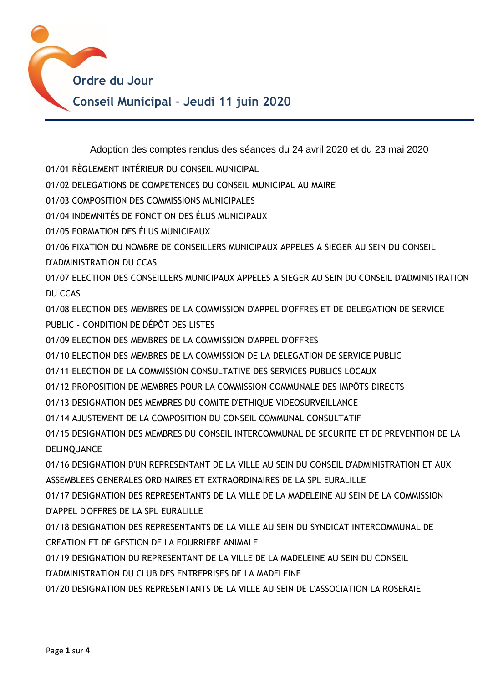

Adoption des comptes rendus des séances du 24 avril 2020 et du 23 mai 2020

- 01/01 RÈGLEMENT INTÉRIEUR DU CONSEIL MUNICIPAL
- 01/02 DELEGATIONS DE COMPETENCES DU CONSEIL MUNICIPAL AU MAIRE
- 01/03 COMPOSITION DES COMMISSIONS MUNICIPALES
- 01/04 INDEMNITÉS DE FONCTION DES ÉLUS MUNICIPAUX
- 01/05 FORMATION DES ÉLUS MUNICIPAUX
- 01/06 FIXATION DU NOMBRE DE CONSEILLERS MUNICIPAUX APPELES A SIEGER AU SEIN DU CONSEIL
- D'ADMINISTRATION DU CCAS

01/07 ELECTION DES CONSEILLERS MUNICIPAUX APPELES A SIEGER AU SEIN DU CONSEIL D'ADMINISTRATION DU CCAS

01/08 ELECTION DES MEMBRES DE LA COMMISSION D'APPEL D'OFFRES ET DE DELEGATION DE SERVICE PUBLIC - CONDITION DE DÉPÔT DES LISTES

- 01/09 ELECTION DES MEMBRES DE LA COMMISSION D'APPEL D'OFFRES
- 01/10 ELECTION DES MEMBRES DE LA COMMISSION DE LA DELEGATION DE SERVICE PUBLIC
- 01/11 ELECTION DE LA COMMISSION CONSULTATIVE DES SERVICES PUBLICS LOCAUX
- 01/12 PROPOSITION DE MEMBRES POUR LA COMMISSION COMMUNALE DES IMPÔTS DIRECTS
- 01/13 DESIGNATION DES MEMBRES DU COMITE D'ETHIQUE VIDEOSURVEILLANCE
- 01/14 AJUSTEMENT DE LA COMPOSITION DU CONSEIL COMMUNAL CONSULTATIF

01/15 DESIGNATION DES MEMBRES DU CONSEIL INTERCOMMUNAL DE SECURITE ET DE PREVENTION DE LA DELINQUANCE

01/16 DESIGNATION D'UN REPRESENTANT DE LA VILLE AU SEIN DU CONSEIL D'ADMINISTRATION ET AUX ASSEMBLEES GENERALES ORDINAIRES ET EXTRAORDINAIRES DE LA SPL EURALILLE

01/17 DESIGNATION DES REPRESENTANTS DE LA VILLE DE LA MADELEINE AU SEIN DE LA COMMISSION D'APPEL D'OFFRES DE LA SPL EURALILLE

01/18 DESIGNATION DES REPRESENTANTS DE LA VILLE AU SEIN DU SYNDICAT INTERCOMMUNAL DE CREATION ET DE GESTION DE LA FOURRIERE ANIMALE

01/19 DESIGNATION DU REPRESENTANT DE LA VILLE DE LA MADELEINE AU SEIN DU CONSEIL

D'ADMINISTRATION DU CLUB DES ENTREPRISES DE LA MADELEINE

01/20 DESIGNATION DES REPRESENTANTS DE LA VILLE AU SEIN DE L'ASSOCIATION LA ROSERAIE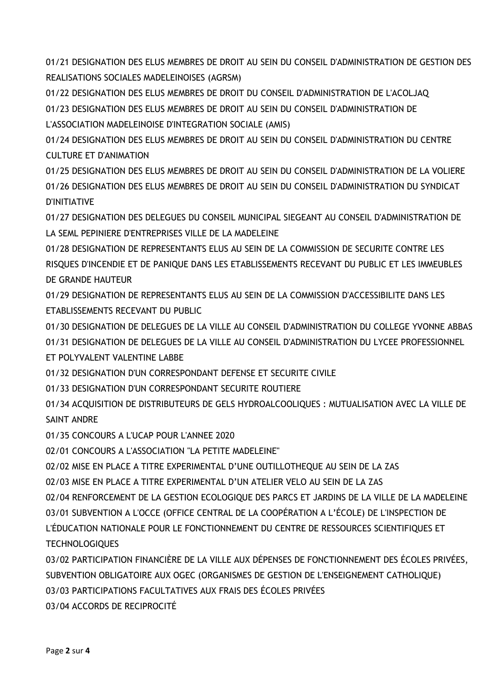01/21 DESIGNATION DES ELUS MEMBRES DE DROIT AU SEIN DU CONSEIL D'ADMINISTRATION DE GESTION DES REALISATIONS SOCIALES MADELEINOISES (AGRSM)

01/22 DESIGNATION DES ELUS MEMBRES DE DROIT DU CONSEIL D'ADMINISTRATION DE L'ACOLJAQ 01/23 DESIGNATION DES ELUS MEMBRES DE DROIT AU SEIN DU CONSEIL D'ADMINISTRATION DE L'ASSOCIATION MADELEINOISE D'INTEGRATION SOCIALE (AMIS)

01/24 DESIGNATION DES ELUS MEMBRES DE DROIT AU SEIN DU CONSEIL D'ADMINISTRATION DU CENTRE CULTURE ET D'ANIMATION

01/25 DESIGNATION DES ELUS MEMBRES DE DROIT AU SEIN DU CONSEIL D'ADMINISTRATION DE LA VOLIERE 01/26 DESIGNATION DES ELUS MEMBRES DE DROIT AU SEIN DU CONSEIL D'ADMINISTRATION DU SYNDICAT D'INITIATIVE

01/27 DESIGNATION DES DELEGUES DU CONSEIL MUNICIPAL SIEGEANT AU CONSEIL D'ADMINISTRATION DE LA SEML PEPINIERE D'ENTREPRISES VILLE DE LA MADELEINE

01/28 DESIGNATION DE REPRESENTANTS ELUS AU SEIN DE LA COMMISSION DE SECURITE CONTRE LES RISQUES D'INCENDIE ET DE PANIQUE DANS LES ETABLISSEMENTS RECEVANT DU PUBLIC ET LES IMMEUBLES DE GRANDE HAUTEUR

01/29 DESIGNATION DE REPRESENTANTS ELUS AU SEIN DE LA COMMISSION D'ACCESSIBILITE DANS LES ETABLISSEMENTS RECEVANT DU PUBLIC

01/30 DESIGNATION DE DELEGUES DE LA VILLE AU CONSEIL D'ADMINISTRATION DU COLLEGE YVONNE ABBAS 01/31 DESIGNATION DE DELEGUES DE LA VILLE AU CONSEIL D'ADMINISTRATION DU LYCEE PROFESSIONNEL ET POLYVALENT VALENTINE LABBE

01/32 DESIGNATION D'UN CORRESPONDANT DEFENSE ET SECURITE CIVILE

01/33 DESIGNATION D'UN CORRESPONDANT SECURITE ROUTIERE

01/34 ACQUISITION DE DISTRIBUTEURS DE GELS HYDROALCOOLIQUES : MUTUALISATION AVEC LA VILLE DE SAINT ANDRE

01/35 CONCOURS A L'UCAP POUR L'ANNEE 2020

02/01 CONCOURS A L'ASSOCIATION "LA PETITE MADELEINE"

02/02 MISE EN PLACE A TITRE EXPERIMENTAL D'UNE OUTILLOTHEQUE AU SEIN DE LA ZAS

02/03 MISE EN PLACE A TITRE EXPERIMENTAL D'UN ATELIER VELO AU SEIN DE LA ZAS

02/04 RENFORCEMENT DE LA GESTION ECOLOGIQUE DES PARCS ET JARDINS DE LA VILLE DE LA MADELEINE 03/01 SUBVENTION A L'OCCE (OFFICE CENTRAL DE LA COOPÉRATION A L'ÉCOLE) DE L'INSPECTION DE L'ÉDUCATION NATIONALE POUR LE FONCTIONNEMENT DU CENTRE DE RESSOURCES SCIENTIFIQUES ET TECHNOLOGIQUES

03/02 PARTICIPATION FINANCIÈRE DE LA VILLE AUX DÉPENSES DE FONCTIONNEMENT DES ÉCOLES PRIVÉES, SUBVENTION OBLIGATOIRE AUX OGEC (ORGANISMES DE GESTION DE L'ENSEIGNEMENT CATHOLIQUE) 03/03 PARTICIPATIONS FACULTATIVES AUX FRAIS DES ÉCOLES PRIVÉES

03/04 ACCORDS DE RECIPROCITÉ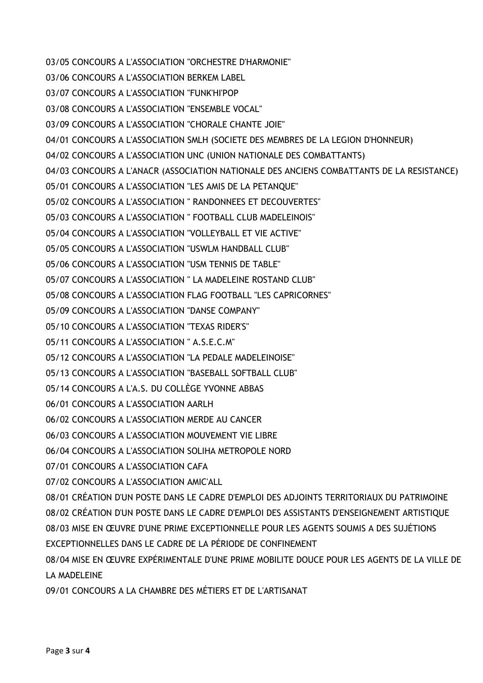03/05 CONCOURS A L'ASSOCIATION "ORCHESTRE D'HARMONIE" 03/06 CONCOURS A L'ASSOCIATION BERKEM LABEL 03/07 CONCOURS A L'ASSOCIATION "FUNK'HI'POP 03/08 CONCOURS A L'ASSOCIATION "ENSEMBLE VOCAL" 03/09 CONCOURS A L'ASSOCIATION "CHORALE CHANTE JOIE" 04/01 CONCOURS A L'ASSOCIATION SMLH (SOCIETE DES MEMBRES DE LA LEGION D'HONNEUR) 04/02 CONCOURS A L'ASSOCIATION UNC (UNION NATIONALE DES COMBATTANTS) 04/03 CONCOURS A L'ANACR (ASSOCIATION NATIONALE DES ANCIENS COMBATTANTS DE LA RESISTANCE) 05/01 CONCOURS A L'ASSOCIATION "LES AMIS DE LA PETANQUE" 05/02 CONCOURS A L'ASSOCIATION " RANDONNEES ET DECOUVERTES" 05/03 CONCOURS A L'ASSOCIATION " FOOTBALL CLUB MADELEINOIS" 05/04 CONCOURS A L'ASSOCIATION "VOLLEYBALL ET VIE ACTIVE" 05/05 CONCOURS A L'ASSOCIATION "USWLM HANDBALL CLUB" 05/06 CONCOURS A L'ASSOCIATION "USM TENNIS DE TABLE" 05/07 CONCOURS A L'ASSOCIATION " LA MADELEINE ROSTAND CLUB" 05/08 CONCOURS A L'ASSOCIATION FLAG FOOTBALL "LES CAPRICORNES" 05/09 CONCOURS A L'ASSOCIATION "DANSE COMPANY" 05/10 CONCOURS A L'ASSOCIATION "TEXAS RIDER'S" 05/11 CONCOURS A L'ASSOCIATION " A.S.E.C.M" 05/12 CONCOURS A L'ASSOCIATION "LA PEDALE MADELEINOISE" 05/13 CONCOURS A L'ASSOCIATION "BASEBALL SOFTBALL CLUB" 05/14 CONCOURS A L'A.S. DU COLLÈGE YVONNE ABBAS 06/01 CONCOURS A L'ASSOCIATION AARLH 06/02 CONCOURS A L'ASSOCIATION MERDE AU CANCER 06/03 CONCOURS A L'ASSOCIATION MOUVEMENT VIE LIBRE 06/04 CONCOURS A L'ASSOCIATION SOLIHA METROPOLE NORD 07/01 CONCOURS A L'ASSOCIATION CAFA 07/02 CONCOURS A L'ASSOCIATION AMIC'ALL 08/01 CRÉATION D'UN POSTE DANS LE CADRE D'EMPLOI DES ADJOINTS TERRITORIAUX DU PATRIMOINE 08/02 CRÉATION D'UN POSTE DANS LE CADRE D'EMPLOI DES ASSISTANTS D'ENSEIGNEMENT ARTISTIQUE 08/03 MISE EN ŒUVRE D'UNE PRIME EXCEPTIONNELLE POUR LES AGENTS SOUMIS A DES SUJÉTIONS EXCEPTIONNELLES DANS LE CADRE DE LA PÉRIODE DE CONFINEMENT 08/04 MISE EN ŒUVRE EXPÉRIMENTALE D'UNE PRIME MOBILITE DOUCE POUR LES AGENTS DE LA VILLE DE **LA MADELEINE** 09/01 CONCOURS A LA CHAMBRE DES MÉTIERS ET DE L'ARTISANAT